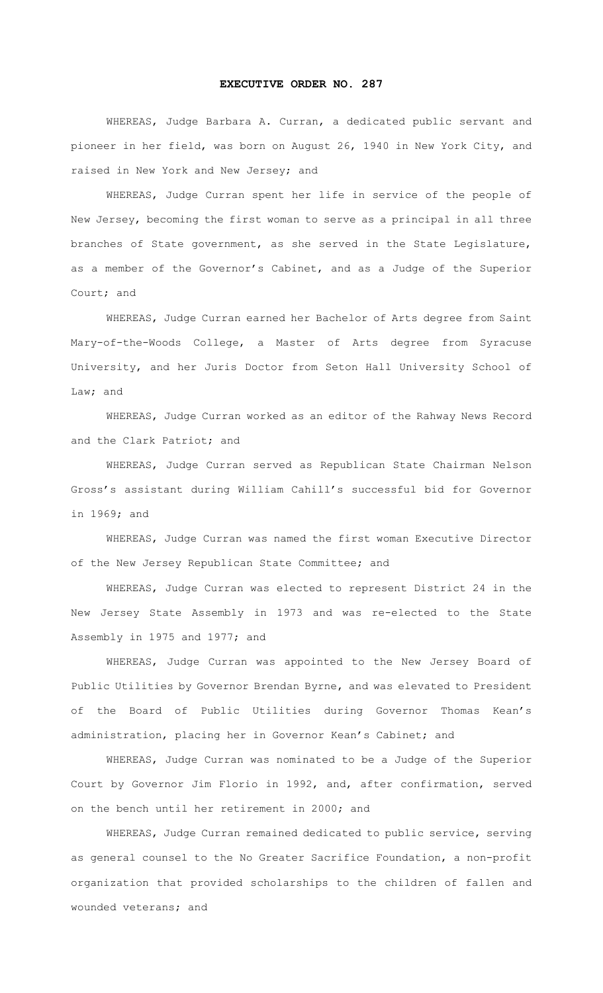## **EXECUTIVE ORDER NO. 287**

WHEREAS, Judge Barbara A. Curran, a dedicated public servant and pioneer in her field, was born on August 26, 1940 in New York City, and raised in New York and New Jersey; and

WHEREAS, Judge Curran spent her life in service of the people of New Jersey, becoming the first woman to serve as a principal in all three branches of State government, as she served in the State Legislature, as a member of the Governor's Cabinet, and as a Judge of the Superior Court; and

WHEREAS, Judge Curran earned her Bachelor of Arts degree from Saint Mary-of-the-Woods College, a Master of Arts degree from Syracuse University, and her Juris Doctor from Seton Hall University School of Law; and

WHEREAS, Judge Curran worked as an editor of the Rahway News Record and the Clark Patriot; and

WHEREAS, Judge Curran served as Republican State Chairman Nelson Gross's assistant during William Cahill's successful bid for Governor in 1969; and

WHEREAS, Judge Curran was named the first woman Executive Director of the New Jersey Republican State Committee; and

WHEREAS, Judge Curran was elected to represent District 24 in the New Jersey State Assembly in 1973 and was re-elected to the State Assembly in 1975 and 1977; and

WHEREAS, Judge Curran was appointed to the New Jersey Board of Public Utilities by Governor Brendan Byrne, and was elevated to President of the Board of Public Utilities during Governor Thomas Kean's administration, placing her in Governor Kean's Cabinet; and

WHEREAS, Judge Curran was nominated to be a Judge of the Superior Court by Governor Jim Florio in 1992, and, after confirmation, served on the bench until her retirement in 2000; and

WHEREAS, Judge Curran remained dedicated to public service, serving as general counsel to the No Greater Sacrifice Foundation, a non-profit organization that provided scholarships to the children of fallen and wounded veterans; and